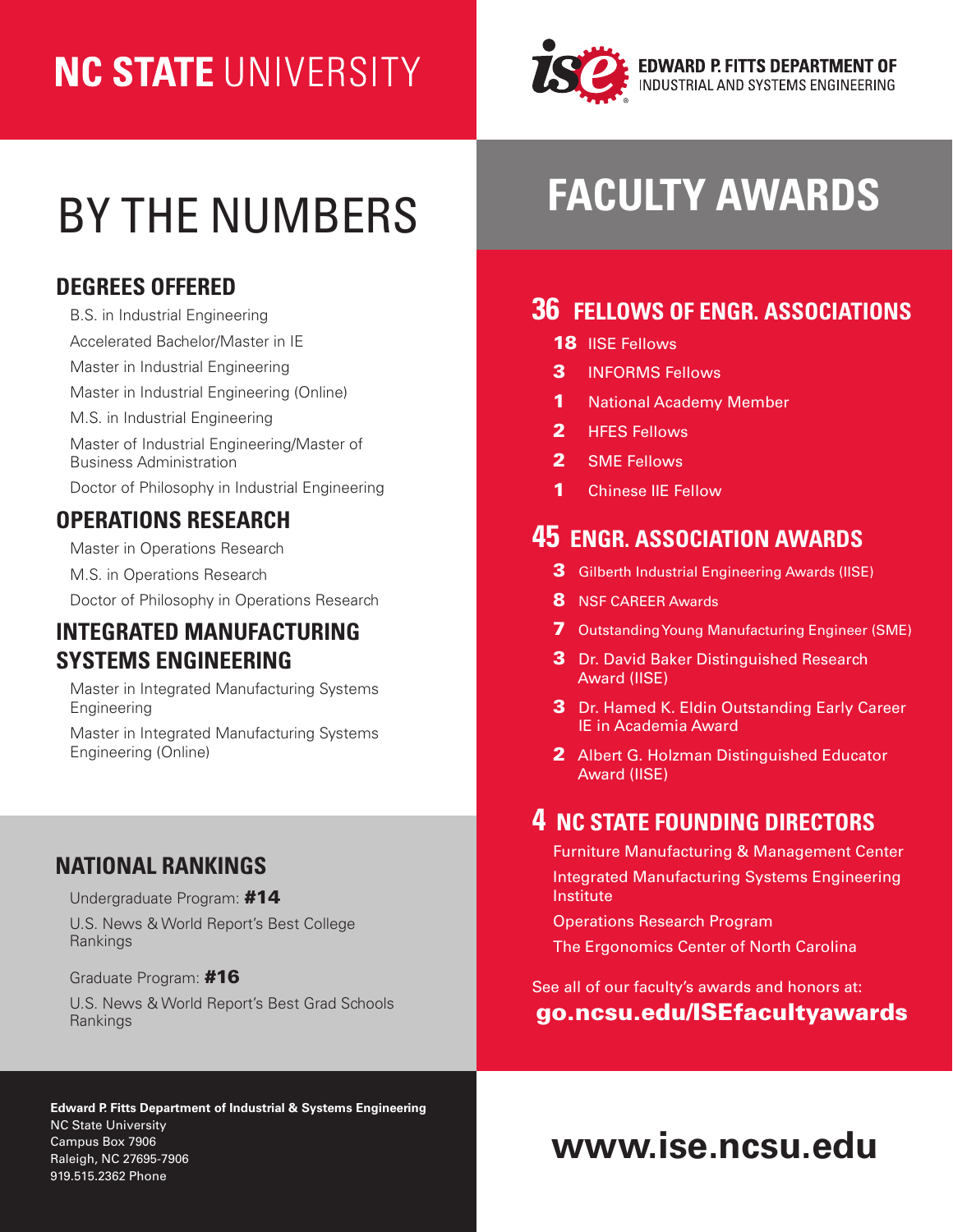# **NC STATE UNIVERSITY**



# BY THE NUMBERS

### **DEGREES OFFERED**

[B.S. in Industrial Engineering](https://www.ise.ncsu.edu/future-students-parents/degrees/bsie/) [Accelerated Bachelor/Master in IE](https://www.ise.ncsu.edu/future-students-parents/degrees/abm/) [Master in Industrial Engineering](https://www.ise.ncsu.edu/future-students-parents/degrees/mie/) [Master in Industrial Engineering \(Online\)](https://www.engineeringonline.ncsu.edu/programs-and-courses/graduate/master-of-industrial-engineering/) [M.S. in Industrial Engineering](https://www.ise.ncsu.edu/future-students-parents/degrees/msie/) [Master of Industrial Engineering/Master of](https://www.ise.ncsu.edu/future-students-parents/degrees/mie-mba/)  [Business Administration](https://www.ise.ncsu.edu/future-students-parents/degrees/mie-mba/) [Doctor of Philosophy in Industrial Engineering](https://www.ise.ncsu.edu/future-students-parents/degrees/phd/)

### **OPERATIONS RESEARCH**

[Master in Operations Research](https://www.or.ncsu.edu/academics/master-operations-research-mor/) 

[M.S. in Operations Research](https://www.or.ncsu.edu/academics/master-science-operations-research-msc/)

[Doctor of Philosophy in Operations Research](https://www.or.ncsu.edu/academics/doctor-philosophy-operations-research-ph-d/)

#### **INTEGRATED MANUFACTURING SYSTEMS ENGINEERING**

[Master in](https://www.imsei.ncsu.edu/academics/) Integrated Manufacturing Systems Engineering

[Master in](https://www.engineeringonline.ncsu.edu/programs-and-courses/graduate/master-of-integrated-manufacturing-systems-engineering/) Integrated Manufacturing Systems Engineering (Online)

### **NATIONAL RANKINGS**

Undergraduate Program: #14

U.S. [News & World Report's Best College](https://www.usnews.com/best-colleges/rankings/engineering-doctorate-industrial-manufacturing?_mode=list)  [Rankings](https://www.usnews.com/best-colleges/rankings/engineering-doctorate-industrial-manufacturing?_mode=list)

Graduate Program: #16

U.S. [News & World Report's Best Grad Schools](https://www.usnews.com/best-graduate-schools/top-engineering-schools/industrial-engineering-rankings)  [Rankings](https://www.usnews.com/best-graduate-schools/top-engineering-schools/industrial-engineering-rankings)

#### **Edward P. Fitts Department of Industrial & Systems Engineering**  NC State University Campus Box 7906 **Campus Box 7906**<br>Campus Box 7906<br>Raleigh, NC 27695-7906 919.515.2362 Phone

# **FACULTY AWARDS**

## **36 FELLOWS OF ENGR. ASSOCIATIONS**

- **18 IISE Fellows**
- 3 INFORMS Fellows
- 1 National Academy Member
- 2 **HFES Fellows**
- 2 SME Fellows
- 1 Chinese IIE Fellow

### **45 ENGR. ASSOCIATION AWARDS**

- 3 Gilberth Industrial Engineering Awards (IISE)
- 8 NSF CAREER Awards
- 7 Outstanding Young Manufacturing Engineer (SME)
- 3 Dr. David Baker Distinguished Research Award (IISE)
- 3 Dr. Hamed K. Eldin Outstanding Early Career IE in Academia Award
- 2 Albert G. Holzman Distinguished Educator Award (IISE)

## **4 NC STATE FOUNDING DIRECTORS**

Furniture Manufacturing & Management Center Integrated Manufacturing Systems Engineering Institute

Operations Research Program

The Ergonomics Center of North Carolina

See all of our faculty's awards and honors at: [go.ncsu.edu/ISEfacultyawards](http://go.ncsu.edu/ISEfacultyawards)